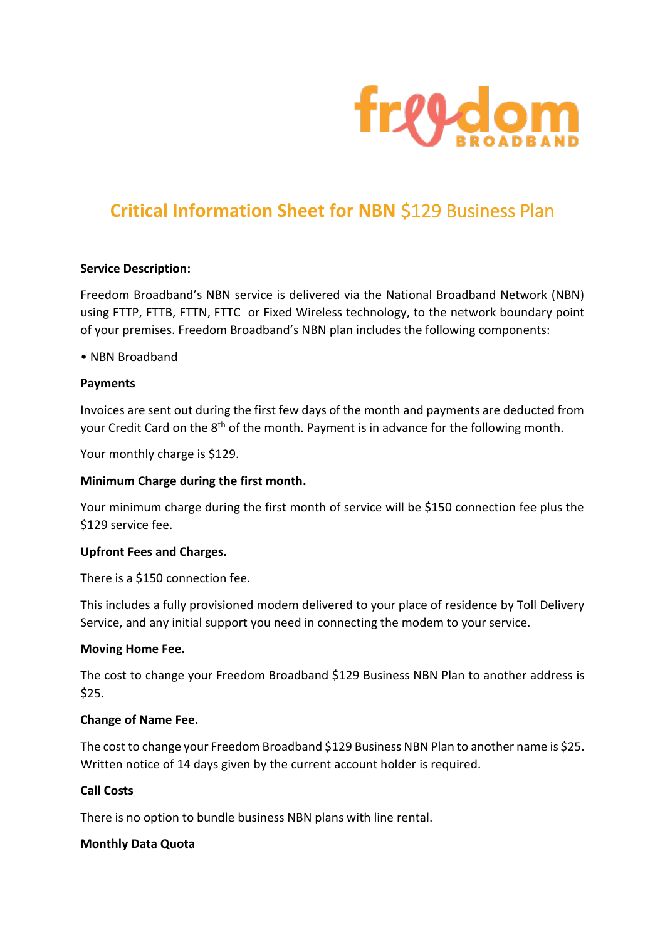

# **Critical Information Sheet for NBN** \$129 Business Plan

#### **Service Description:**

Freedom Broadband's NBN service is delivered via the National Broadband Network (NBN) using FTTP, FTTB, FTTN, FTTC or Fixed Wireless technology, to the network boundary point of your premises. Freedom Broadband's NBN plan includes the following components:

#### • NBN Broadband

#### **Payments**

Invoices are sent out during the first few days of the month and payments are deducted from your Credit Card on the 8<sup>th</sup> of the month. Payment is in advance for the following month.

Your monthly charge is \$129.

## **Minimum Charge during the first month.**

Your minimum charge during the first month of service will be \$150 connection fee plus the \$129 service fee.

#### **Upfront Fees and Charges.**

There is a \$150 connection fee.

This includes a fully provisioned modem delivered to your place of residence by Toll Delivery Service, and any initial support you need in connecting the modem to your service.

#### **Moving Home Fee.**

The cost to change your Freedom Broadband \$129 Business NBN Plan to another address is \$25.

#### **Change of Name Fee.**

The cost to change your Freedom Broadband \$129 Business NBN Plan to another name is \$25. Written notice of 14 days given by the current account holder is required.

## **Call Costs**

There is no option to bundle business NBN plans with line rental.

#### **Monthly Data Quota**